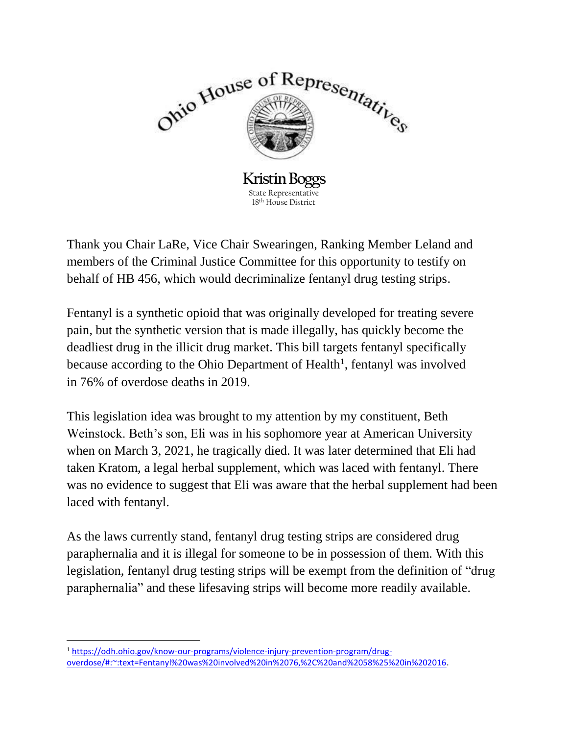

Thank you Chair LaRe, Vice Chair Swearingen, Ranking Member Leland and members of the Criminal Justice Committee for this opportunity to testify on behalf of HB 456, which would decriminalize fentanyl drug testing strips.

Fentanyl is a synthetic opioid that was originally developed for treating severe pain, but the synthetic version that is made illegally, has quickly become the deadliest drug in the illicit drug market. This bill targets fentanyl specifically because according to the Ohio Department of Health<sup>1</sup>, fentanyl was involved in 76% of overdose deaths in 2019.

This legislation idea was brought to my attention by my constituent, Beth Weinstock. Beth's son, Eli was in his sophomore year at American University when on March 3, 2021, he tragically died. It was later determined that Eli had taken Kratom, a legal herbal supplement, which was laced with fentanyl. There was no evidence to suggest that Eli was aware that the herbal supplement had been laced with fentanyl.

As the laws currently stand, fentanyl drug testing strips are considered drug paraphernalia and it is illegal for someone to be in possession of them. With this legislation, fentanyl drug testing strips will be exempt from the definition of "drug paraphernalia" and these lifesaving strips will become more readily available.

 $\overline{a}$ 

<sup>1</sup> [https://odh.ohio.gov/know-our-programs/violence-injury-prevention-program/drug](https://odh.ohio.gov/know-our-programs/violence-injury-prevention-program/drug-overdose/#:~:text=Fentanyl%20was%20involved%20in%2076,%2C%20and%2058%25%20in%202016)[overdose/#:~:text=Fentanyl%20was%20involved%20in%2076,%2C%20and%2058%25%20in%202016.](https://odh.ohio.gov/know-our-programs/violence-injury-prevention-program/drug-overdose/#:~:text=Fentanyl%20was%20involved%20in%2076,%2C%20and%2058%25%20in%202016)